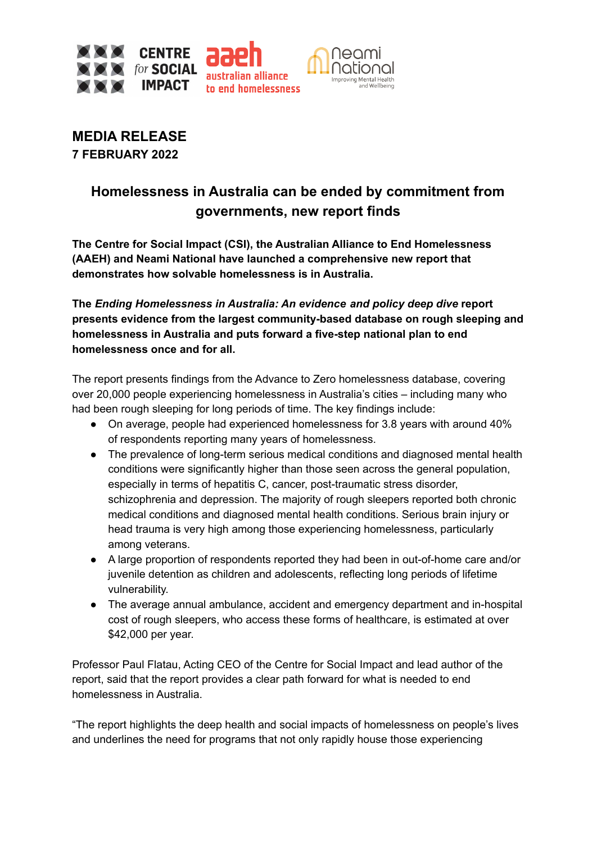

**MEDIA RELEASE 7 FEBRUARY 2022**

# **Homelessness in Australia can be ended by commitment from governments, new report finds**

**The Centre for Social Impact (CSI), the Australian Alliance to End Homelessness (AAEH) and Neami National have launched a comprehensive new report that demonstrates how solvable homelessness is in Australia.**

**The** *Ending Homelessness in Australia: An evidence and policy deep dive* **report presents evidence from the largest community-based database on rough sleeping and homelessness in Australia and puts forward a five-step national plan to end homelessness once and for all.**

The report presents findings from the Advance to Zero homelessness database, covering over 20,000 people experiencing homelessness in Australia's cities – including many who had been rough sleeping for long periods of time. The key findings include:

- On average, people had experienced homelessness for 3.8 years with around 40% of respondents reporting many years of homelessness.
- The prevalence of long-term serious medical conditions and diagnosed mental health conditions were significantly higher than those seen across the general population, especially in terms of hepatitis C, cancer, post-traumatic stress disorder, schizophrenia and depression. The majority of rough sleepers reported both chronic medical conditions and diagnosed mental health conditions. Serious brain injury or head trauma is very high among those experiencing homelessness, particularly among veterans.
- A large proportion of respondents reported they had been in out-of-home care and/or juvenile detention as children and adolescents, reflecting long periods of lifetime vulnerability.
- The average annual ambulance, accident and emergency department and in-hospital cost of rough sleepers, who access these forms of healthcare, is estimated at over \$42,000 per year.

Professor Paul Flatau, Acting CEO of the Centre for Social Impact and lead author of the report, said that the report provides a clear path forward for what is needed to end homelessness in Australia.

"The report highlights the deep health and social impacts of homelessness on people's lives and underlines the need for programs that not only rapidly house those experiencing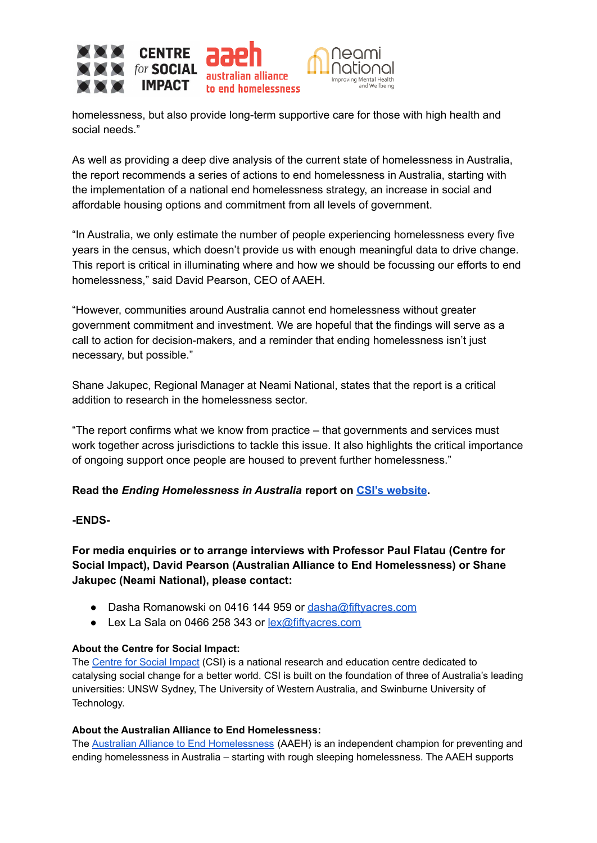

homelessness, but also provide long-term supportive care for those with high health and social needs."

As well as providing a deep dive analysis of the current state of homelessness in Australia, the report recommends a series of actions to end homelessness in Australia, starting with the implementation of a national end homelessness strategy, an increase in social and affordable housing options and commitment from all levels of government.

"In Australia, we only estimate the number of people experiencing homelessness every five years in the census, which doesn't provide us with enough meaningful data to drive change. This report is critical in illuminating where and how we should be focussing our efforts to end homelessness," said David Pearson, CEO of AAEH.

"However, communities around Australia cannot end homelessness without greater government commitment and investment. We are hopeful that the findings will serve as a call to action for decision-makers, and a reminder that ending homelessness isn't just necessary, but possible."

Shane Jakupec, Regional Manager at Neami National, states that the report is a critical addition to research in the homelessness sector.

"The report confirms what we know from practice – that governments and services must work together across jurisdictions to tackle this issue. It also highlights the critical importance of ongoing support once people are housed to prevent further homelessness."

## **Read the** *Ending Homelessness in Australia* **report on CSI's [website](http://www.csi.edu.au/deep-dives).**

### **-ENDS-**

**For media enquiries or to arrange interviews with Professor Paul Flatau (Centre for Social Impact), David Pearson (Australian Alliance to End Homelessness) or Shane Jakupec (Neami National), please contact:**

- Dasha Romanowski on 0416 144 959 or [dasha@fiftyacres.com](mailto:dasha@fiftyacres.com)
- Lex La Sala on 0466 258 343 or [lex@fiftyacres.com](mailto:lex@fiftyacres.com)

### **About the Centre for Social Impact:**

The [Centre](https://www.csi.edu.au/) for Social Impact (CSI) is a national research and education centre dedicated to catalysing social change for a better world. CSI is built on the foundation of three of Australia's leading universities: UNSW Sydney, The University of Western Australia, and Swinburne University of Technology.

### **About the Australian Alliance to End Homelessness:**

The Australian Alliance to End [Homelessness](https://aaeh.org.au/assets/docs/Publications/Housing-Beyond-COVID.pdf) (AAEH) is an independent champion for preventing and ending homelessness in Australia – starting with rough sleeping homelessness. The AAEH supports